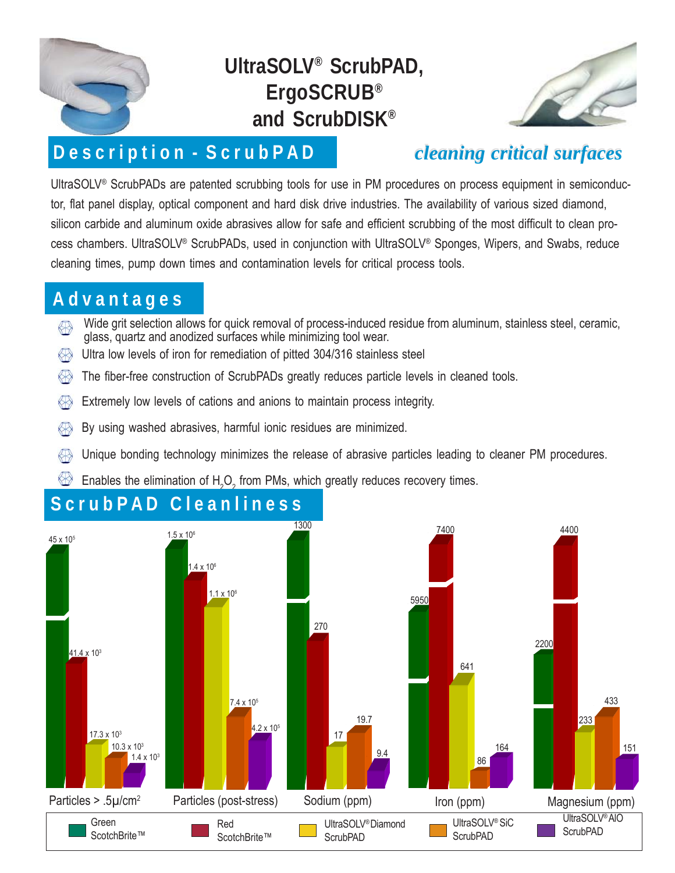

# **UltraSOLV® ScrubPAD, ErgoSCRUB® and ScrubDISK®**



### **D e s c r i p t i o n - S c r u b P A D**

*cleaning critical surfaces cleaning critical surfaces*

UltraSOLV® ScrubPADs are patented scrubbing tools for use in PM procedures on process equipment in semiconductor, flat panel display, optical component and hard disk drive industries. The availability of various sized diamond, silicon carbide and aluminum oxide abrasives allow for safe and efficient scrubbing of the most difficult to clean process chambers. UltraSOLV® ScrubPADs, used in conjunction with UltraSOLV® Sponges, Wipers, and Swabs, reduce cleaning times, pump down times and contamination levels for critical process tools.

#### **A d v a n t a g e s**

- Wide grit selection allows for quick removal of process-induced residue from aluminum, stainless steel, ceramic, glass, quartz and anodized surfaces while minimizing tool wear.
- Ultra low levels of iron for remediation of pitted 304/316 stainless steel K₩
- The fiber-free construction of ScrubPADs greatly reduces particle levels in cleaned tools.
- 标 Extremely low levels of cations and anions to maintain process integrity.
- By using washed abrasives, harmful ionic residues are minimized. «
- K Unique bonding technology minimizes the release of abrasive particles leading to cleaner PM procedures.
- ₩ Enables the elimination of H<sub>2</sub>O<sub>2</sub> from PMs, which greatly reduces recovery times.



#### **S c r u b P A D C l e a n l i n e s s**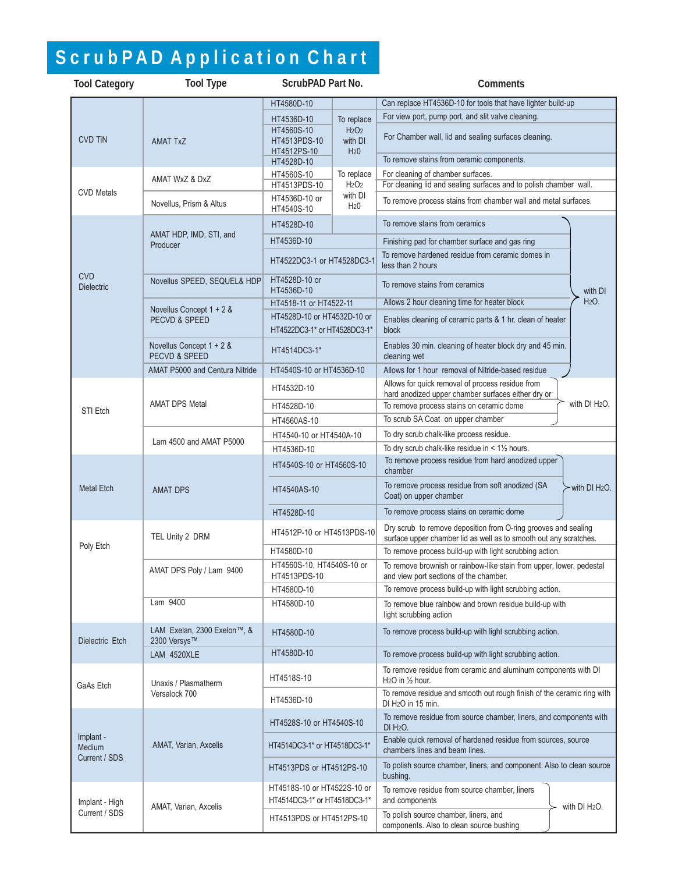# S c r u b P A D A p p l i c a t i o n C h a r t

| <b>Tool Category</b>                        | <b>Tool Type</b>                                     | ScrubPAD Part No.                                                                                                                      |                                                                           | Comments                                                                                                                            |  |
|---------------------------------------------|------------------------------------------------------|----------------------------------------------------------------------------------------------------------------------------------------|---------------------------------------------------------------------------|-------------------------------------------------------------------------------------------------------------------------------------|--|
|                                             |                                                      | HT4580D-10                                                                                                                             |                                                                           | Can replace HT4536D-10 for tools that have lighter build-up                                                                         |  |
| <b>CVD TiN</b>                              | <b>AMAT TxZ</b>                                      | HT4536D-10                                                                                                                             | To replace<br>H <sub>2</sub> O <sub>2</sub><br>with DI<br>H <sub>20</sub> | For view port, pump port, and slit valve cleaning.                                                                                  |  |
|                                             |                                                      | HT4560S-10<br>HT4513PDS-10<br>HT4512PS-10                                                                                              |                                                                           | For Chamber wall, lid and sealing surfaces cleaning.                                                                                |  |
|                                             |                                                      | HT4528D-10                                                                                                                             |                                                                           | To remove stains from ceramic components.                                                                                           |  |
| <b>CVD Metals</b>                           | AMAT WxZ & DxZ                                       | To replace<br>HT4560S-10<br>HT4513PDS-10<br>H <sub>2</sub> O <sub>2</sub><br>with DI<br>HT4536D-10 or<br>H <sub>20</sub><br>HT4540S-10 |                                                                           | For cleaning of chamber surfaces.<br>For cleaning lid and sealing surfaces and to polish chamber wall.                              |  |
|                                             | Novellus, Prism & Altus                              |                                                                                                                                        |                                                                           | To remove process stains from chamber wall and metal surfaces.                                                                      |  |
| <b>CVD</b><br><b>Dielectric</b>             | AMAT HDP, IMD, STI, and<br>Producer                  | HT4528D-10                                                                                                                             |                                                                           | To remove stains from ceramics                                                                                                      |  |
|                                             |                                                      | HT4536D-10                                                                                                                             |                                                                           | Finishing pad for chamber surface and gas ring                                                                                      |  |
|                                             |                                                      | HT4522DC3-1 or HT4528DC3-1                                                                                                             |                                                                           | To remove hardened residue from ceramic domes in<br>less than 2 hours                                                               |  |
|                                             | Novellus SPEED, SEQUEL& HDP                          | HT4528D-10 or<br>HT4536D-10                                                                                                            |                                                                           | To remove stains from ceramics<br>with DI                                                                                           |  |
|                                             | Novellus Concept 1 + 2 &                             | HT4518-11 or HT4522-11                                                                                                                 |                                                                           | H <sub>2</sub> O <sub>1</sub><br>Allows 2 hour cleaning time for heater block                                                       |  |
|                                             | <b>PECVD &amp; SPEED</b>                             | HT4528D-10 or HT4532D-10 or                                                                                                            |                                                                           | Enables cleaning of ceramic parts & 1 hr. clean of heater<br>block                                                                  |  |
|                                             |                                                      | HT4522DC3-1* or HT4528DC3-1*                                                                                                           |                                                                           |                                                                                                                                     |  |
|                                             | Novellus Concept 1 + 2 &<br><b>PECVD &amp; SPEED</b> | HT4514DC3-1*                                                                                                                           |                                                                           | Enables 30 min. cleaning of heater block dry and 45 min.<br>cleaning wet                                                            |  |
|                                             | <b>AMAT P5000 and Centura Nitride</b>                | HT4540S-10 or HT4536D-10                                                                                                               |                                                                           | Allows for 1 hour removal of Nitride-based residue                                                                                  |  |
|                                             |                                                      | HT4532D-10                                                                                                                             |                                                                           | Allows for quick removal of process residue from<br>hard anodized upper chamber surfaces either dry or                              |  |
| STI Etch                                    | <b>AMAT DPS Metal</b>                                | HT4528D-10                                                                                                                             |                                                                           | with DI H <sub>2</sub> O.<br>To remove process stains on ceramic dome                                                               |  |
|                                             |                                                      | HT4560AS-10                                                                                                                            |                                                                           | To scrub SA Coat on upper chamber                                                                                                   |  |
|                                             | Lam 4500 and AMAT P5000                              | HT4540-10 or HT4540A-10                                                                                                                |                                                                           | To dry scrub chalk-like process residue.                                                                                            |  |
|                                             |                                                      | HT4536D-10                                                                                                                             |                                                                           | To dry scrub chalk-like residue in $< 1\frac{1}{2}$ hours.                                                                          |  |
| <b>Metal Etch</b>                           | <b>AMAT DPS</b>                                      | HT4540S-10 or HT4560S-10                                                                                                               |                                                                           | To remove process residue from hard anodized upper<br>chamber                                                                       |  |
|                                             |                                                      | HT4540AS-10                                                                                                                            |                                                                           | To remove process residue from soft anodized (SA<br>with DI H <sub>2</sub> O.<br>Coat) on upper chamber                             |  |
|                                             |                                                      | HT4528D-10                                                                                                                             |                                                                           | To remove process stains on ceramic dome                                                                                            |  |
| Poly Etch                                   | TEL Unity 2 DRM                                      | HT4512P-10 or HT4513PDS-10                                                                                                             |                                                                           | Dry scrub to remove deposition from O-ring grooves and sealing<br>surface upper chamber lid as well as to smooth out any scratches. |  |
|                                             |                                                      | HT4580D-10                                                                                                                             |                                                                           | To remove process build-up with light scrubbing action.                                                                             |  |
|                                             | AMAT DPS Poly / Lam 9400                             | HT4560S-10, HT4540S-10 or<br>HT4513PDS-10                                                                                              |                                                                           | To remove brownish or rainbow-like stain from upper, lower, pedestal<br>and view port sections of the chamber.                      |  |
|                                             |                                                      | HT4580D-10                                                                                                                             |                                                                           | To remove process build-up with light scrubbing action.                                                                             |  |
|                                             | Lam 9400                                             | HT4580D-10                                                                                                                             |                                                                           | To remove blue rainbow and brown residue build-up with<br>light scrubbing action                                                    |  |
| Dielectric Etch                             | LAM Exelan, 2300 Exelon™, &<br>2300 Versys™          | HT4580D-10                                                                                                                             |                                                                           | To remove process build-up with light scrubbing action.                                                                             |  |
|                                             | LAM 4520XLE                                          | HT4580D-10                                                                                                                             |                                                                           | To remove process build-up with light scrubbing action.                                                                             |  |
| GaAs Etch                                   | Unaxis / Plasmatherm<br>Versalock 700                | HT4518S-10                                                                                                                             |                                                                           | To remove residue from ceramic and aluminum components with DI<br>H <sub>2</sub> O in $\frac{1}{2}$ hour.                           |  |
|                                             |                                                      | HT4536D-10                                                                                                                             |                                                                           | To remove residue and smooth out rough finish of the ceramic ring with<br>DI H <sub>2</sub> O in 15 min.                            |  |
| Implant -<br><b>Medium</b><br>Current / SDS | AMAT, Varian, Axcelis                                | HT4528S-10 or HT4540S-10                                                                                                               |                                                                           | To remove residue from source chamber, liners, and components with<br>DI H <sub>2</sub> O.                                          |  |
|                                             |                                                      | HT4514DC3-1* or HT4518DC3-1*                                                                                                           |                                                                           | Enable quick removal of hardened residue from sources, source<br>chambers lines and beam lines.                                     |  |
|                                             |                                                      | HT4513PDS or HT4512PS-10                                                                                                               |                                                                           | To polish source chamber, liners, and component. Also to clean source<br>bushing.                                                   |  |
| Implant - High<br>Current / SDS             | AMAT, Varian, Axcelis                                | HT4518S-10 or HT4522S-10 or<br>HT4514DC3-1* or HT4518DC3-1*                                                                            |                                                                           | To remove residue from source chamber, liners<br>and components<br>with DI H <sub>2</sub> O.                                        |  |
|                                             |                                                      | HT4513PDS or HT4512PS-10                                                                                                               |                                                                           | To polish source chamber, liners, and<br>components. Also to clean source bushing                                                   |  |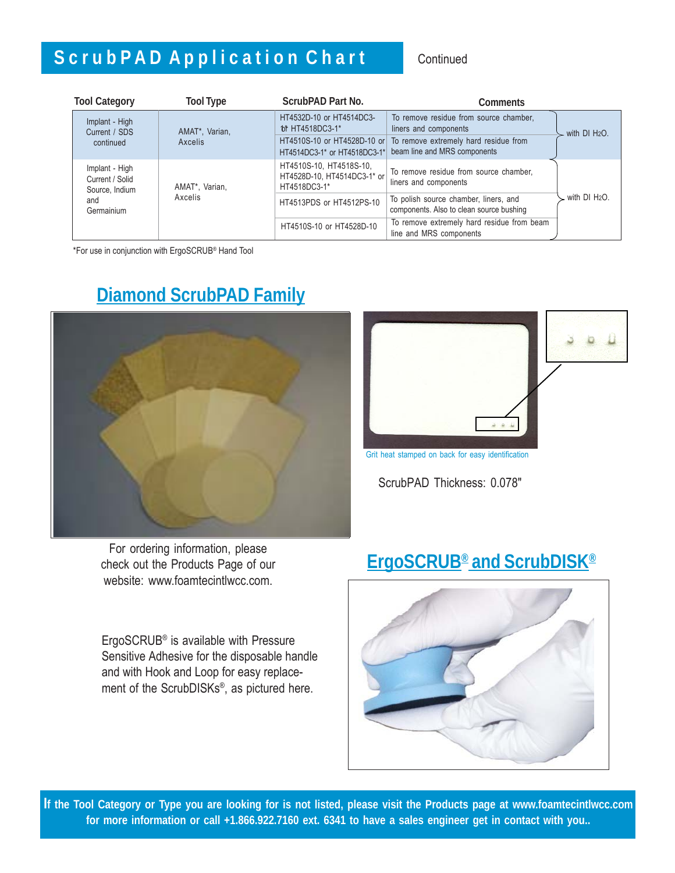## S c r u b P A D A p p l i c a t i o n C h a r t continued

| <b>Tool Category</b>                                | <b>Tool Type</b>          | ScrubPAD Part No.                                                      | Comments                                                                          |                           |
|-----------------------------------------------------|---------------------------|------------------------------------------------------------------------|-----------------------------------------------------------------------------------|---------------------------|
| Implant - High<br>Current / SDS                     | AMAT*, Varian,<br>Axcelis | HT4532D-10 or HT4514DC3-<br>for HT4518DC3-1*                           | To remove residue from source chamber,<br>liners and components                   | with DI H <sub>2</sub> O. |
| continued                                           |                           | HT4510S-10 or HT4528D-10 or<br>HT4514DC3-1* or HT4518DC3-1*            | To remove extremely hard residue from<br>beam line and MRS components             |                           |
| Implant - High<br>Current / Solid<br>Source, Indium | AMAT*, Varian,<br>Axcelis | HT4510S-10, HT4518S-10,<br>HT4528D-10, HT4514DC3-1* or<br>HT4518DC3-1* | To remove residue from source chamber,<br>liners and components                   | with DI H <sub>2</sub> O. |
| and<br>Germainium                                   |                           | HT4513PDS or HT4512PS-10                                               | To polish source chamber, liners, and<br>components. Also to clean source bushing |                           |
|                                                     |                           | HT4510S-10 or HT4528D-10                                               | To remove extremely hard residue from beam<br>line and MRS components             |                           |

\*For use in conjunction with ErgoSCRUB® Hand Tool

### **Diamond ScrubPAD Family**



For ordering information, please check out the Products Page of our website: www.foamtecintlwcc.com.

ErgoSCRUB® is available with Pressure Sensitive Adhesive for the disposable handle and with Hook and Loop for easy replacement of the ScrubDISKs®, as pictured here.



Grit heat stamped on back for easy identification

ScrubPAD Thickness: 0.078"

### **ErgoSCRUB® and ScrubDISK®**



**If the Tool Category or Type you are looking for is not listed, please visit the Products page at www.foamtecintlwcc.com for more information or call +1.866.922.7160 ext. 6341 to have a sales engineer get in contact with you..**